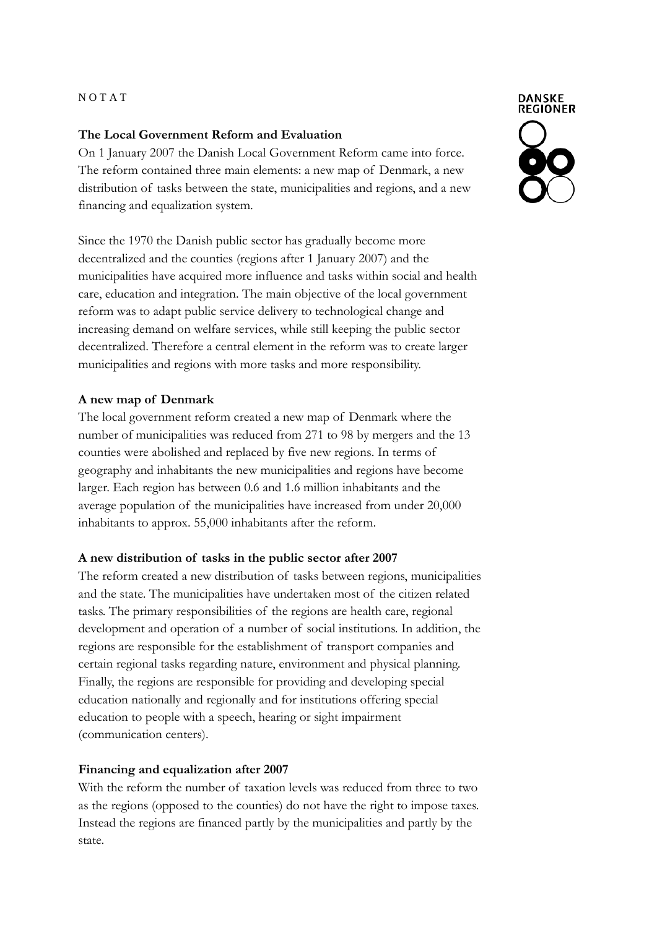## N O T A T

## **The Local Government Reform and Evaluation**

On 1 January 2007 the Danish Local Government Reform came into force. The reform contained three main elements: a new map of Denmark, a new distribution of tasks between the state, municipalities and regions, and a new financing and equalization system.

Since the 1970 the Danish public sector has gradually become more decentralized and the counties (regions after 1 January 2007) and the municipalities have acquired more influence and tasks within social and health care, education and integration. The main objective of the local government reform was to adapt public service delivery to technological change and increasing demand on welfare services, while still keeping the public sector decentralized. Therefore a central element in the reform was to create larger municipalities and regions with more tasks and more responsibility.

## **A new map of Denmark**

The local government reform created a new map of Denmark where the number of municipalities was reduced from 271 to 98 by mergers and the 13 counties were abolished and replaced by five new regions. In terms of geography and inhabitants the new municipalities and regions have become larger. Each region has between 0.6 and 1.6 million inhabitants and the average population of the municipalities have increased from under 20,000 inhabitants to approx. 55,000 inhabitants after the reform.

#### **A new distribution of tasks in the public sector after 2007**

The reform created a new distribution of tasks between regions, municipalities and the state. The municipalities have undertaken most of the citizen related tasks. The primary responsibilities of the regions are health care, regional development and operation of a number of social institutions. In addition, the regions are responsible for the establishment of transport companies and certain regional tasks regarding nature, environment and physical planning. Finally, the regions are responsible for providing and developing special education nationally and regionally and for institutions offering special education to people with a speech, hearing or sight impairment (communication centers).

## **Financing and equalization after 2007**

With the reform the number of taxation levels was reduced from three to two as the regions (opposed to the counties) do not have the right to impose taxes. Instead the regions are financed partly by the municipalities and partly by the state.



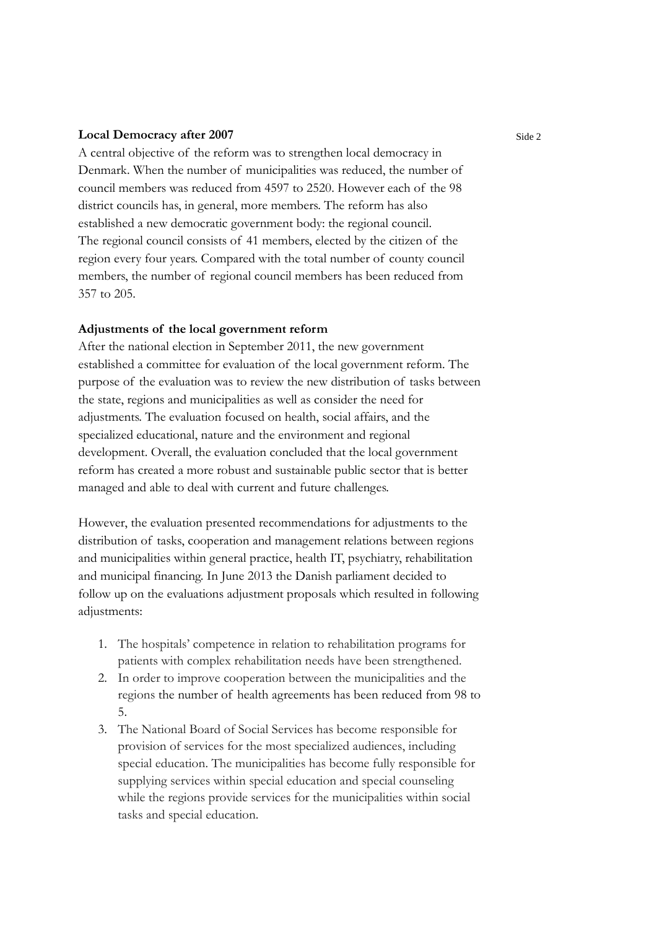#### **Local Democracy after 2007**

A central objective of the reform was to strengthen local democracy in Denmark. When the number of municipalities was reduced, the number of council members was reduced from 4597 to 2520. However each of the 98 district councils has, in general, more members. The reform has also established a new democratic government body: the regional council. The regional council consists of 41 members, elected by the citizen of the region every four years. Compared with the total number of county council members, the number of regional council members has been reduced from 357 to 205.

#### **Adjustments of the local government reform**

After the national election in September 2011, the new government established a committee for evaluation of the local government reform. The purpose of the evaluation was to review the new distribution of tasks between the state, regions and municipalities as well as consider the need for adjustments. The evaluation focused on health, social affairs, and the specialized educational, nature and the environment and regional development. Overall, the evaluation concluded that the local government reform has created a more robust and sustainable public sector that is better managed and able to deal with current and future challenges.

However, the evaluation presented recommendations for adjustments to the distribution of tasks, cooperation and management relations between regions and municipalities within general practice, health IT, psychiatry, rehabilitation and municipal financing. In June 2013 the Danish parliament decided to follow up on the evaluations adjustment proposals which resulted in following adjustments:

- 1. The hospitals' competence in relation to rehabilitation programs for patients with complex rehabilitation needs have been strengthened.
- 2. In order to improve cooperation between the municipalities and the regions the number of health agreements has been reduced from 98 to 5.
- 3. The National Board of Social Services has become responsible for provision of services for the most specialized audiences, including special education. The municipalities has become fully responsible for supplying services within special education and special counseling while the regions provide services for the municipalities within social tasks and special education.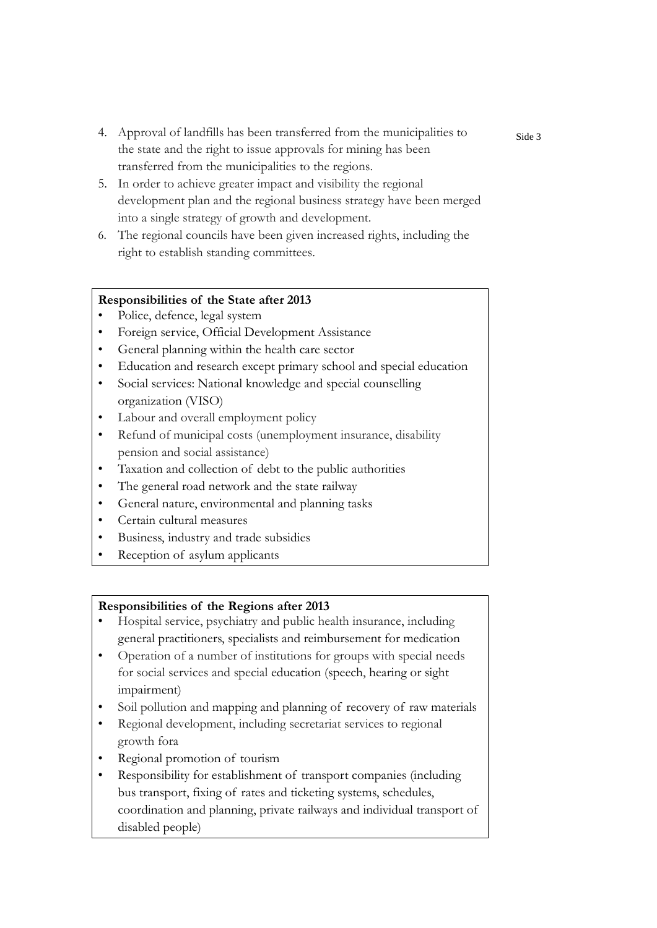- 4. Approval of landfills has been transferred from the municipalities to the state and the right to issue approvals for mining has been transferred from the municipalities to the regions.
- 5. In order to achieve greater impact and visibility the regional development plan and the regional business strategy have been merged into a single strategy of growth and development.
- 6. The regional councils have been given increased rights, including the right to establish standing committees.

## **Responsibilities of the State after 2013**

- Police, defence, legal system
- Foreign service, Official Development Assistance
- General planning within the health care sector
- Education and research except primary school and special education
- Social services: National knowledge and special counselling organization (VISO)
- Labour and overall employment policy
- Refund of municipal costs (unemployment insurance, disability pension and social assistance)
- Taxation and collection of debt to the public authorities
- The general road network and the state railway
- General nature, environmental and planning tasks
- Certain cultural measures
- Business, industry and trade subsidies
- Reception of asylum applicants

# **Responsibilities of the Regions after 2013**

- Hospital service, psychiatry and public health insurance, including general practitioners, specialists and reimbursement for medication
- Operation of a number of institutions for groups with special needs for social services and special education (speech, hearing or sight impairment)
- Soil pollution and mapping and planning of recovery of raw materials
- Regional development, including secretariat services to regional growth fora
- Regional promotion of tourism
- Responsibility for establishment of transport companies (including bus transport, fixing of rates and ticketing systems, schedules, coordination and planning, private railways and individual transport of disabled people)